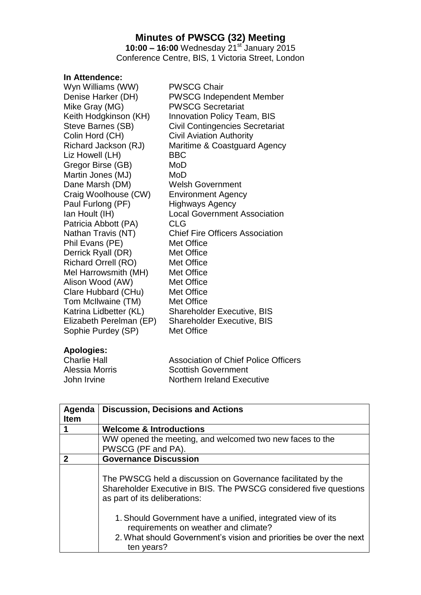## **Minutes of PWSCG (32) Meeting**

**10:00 – 16:00** Wednesday 21st January 2015 Conference Centre, BIS, 1 Victoria Street, London

## **In Attendence:**

| Wyn Williams (WW)          | <b>PWSCG Chair</b>                     |
|----------------------------|----------------------------------------|
| Denise Harker (DH)         | <b>PWSCG Independent Member</b>        |
| Mike Gray (MG)             | <b>PWSCG Secretariat</b>               |
| Keith Hodgkinson (KH)      | <b>Innovation Policy Team, BIS</b>     |
| Steve Barnes (SB)          | <b>Civil Contingencies Secretariat</b> |
| Colin Hord (CH)            | <b>Civil Aviation Authority</b>        |
| Richard Jackson (RJ)       | Maritime & Coastguard Agency           |
| Liz Howell (LH)            | <b>BBC</b>                             |
| Gregor Birse (GB)          | MoD                                    |
| Martin Jones (MJ)          | MoD                                    |
| Dane Marsh (DM)            | <b>Welsh Government</b>                |
| Craig Woolhouse (CW)       | <b>Environment Agency</b>              |
| Paul Furlong (PF)          | <b>Highways Agency</b>                 |
| lan Hoult (IH)             | <b>Local Government Association</b>    |
| Patricia Abbott (PA)       | <b>CLG</b>                             |
| Nathan Travis (NT)         | <b>Chief Fire Officers Association</b> |
| Phil Evans (PE)            | Met Office                             |
| Derrick Ryall (DR)         | Met Office                             |
| <b>Richard Orrell (RO)</b> | Met Office                             |
| Mel Harrowsmith (MH)       | Met Office                             |
| Alison Wood (AW)           | Met Office                             |
| Clare Hubbard (CHu)        | Met Office                             |
| Tom McIlwaine (TM)         | Met Office                             |
| Katrina Lidbetter (KL)     | <b>Shareholder Executive, BIS</b>      |
| Elizabeth Perelman (EP)    | <b>Shareholder Executive, BIS</b>      |
| Sophie Purdey (SP)         | Met Office                             |
|                            |                                        |

## **Apologies:**

| <b>Charlie Hall</b> | <b>Association of Chief Police Officers</b> |
|---------------------|---------------------------------------------|
| Alessia Morris      | <b>Scottish Government</b>                  |
| John Irvine         | Northern Ireland Executive                  |

| Agenda<br><b>Item</b>      | <b>Discussion, Decisions and Actions</b>                                                                                                                                                |  |
|----------------------------|-----------------------------------------------------------------------------------------------------------------------------------------------------------------------------------------|--|
|                            | <b>Welcome &amp; Introductions</b>                                                                                                                                                      |  |
|                            | WW opened the meeting, and welcomed two new faces to the                                                                                                                                |  |
|                            | PWSCG (PF and PA).                                                                                                                                                                      |  |
| $\boldsymbol{\mathcal{P}}$ | <b>Governance Discussion</b>                                                                                                                                                            |  |
|                            | The PWSCG held a discussion on Governance facilitated by the<br>Shareholder Executive in BIS. The PWSCG considered five questions<br>as part of its deliberations:                      |  |
|                            | 1. Should Government have a unified, integrated view of its<br>requirements on weather and climate?<br>2. What should Government's vision and priorities be over the next<br>ten years? |  |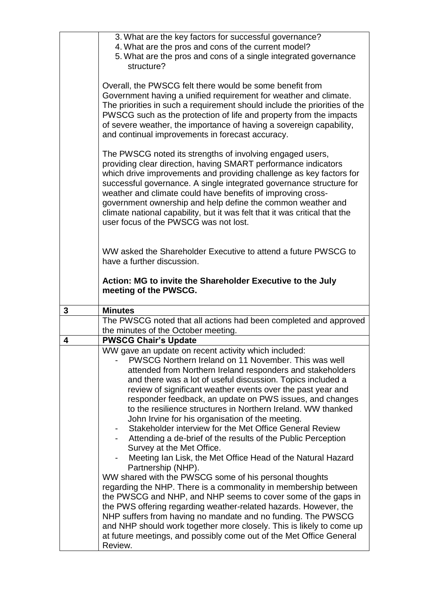| 4. What are the pros and cons of the current model?<br>5. What are the pros and cons of a single integrated governance                      |  |
|---------------------------------------------------------------------------------------------------------------------------------------------|--|
|                                                                                                                                             |  |
| structure?                                                                                                                                  |  |
|                                                                                                                                             |  |
| Overall, the PWSCG felt there would be some benefit from                                                                                    |  |
| Government having a unified requirement for weather and climate.                                                                            |  |
| The priorities in such a requirement should include the priorities of the                                                                   |  |
| PWSCG such as the protection of life and property from the impacts                                                                          |  |
| of severe weather, the importance of having a sovereign capability,                                                                         |  |
| and continual improvements in forecast accuracy.                                                                                            |  |
| The PWSCG noted its strengths of involving engaged users,                                                                                   |  |
| providing clear direction, having SMART performance indicators                                                                              |  |
| which drive improvements and providing challenge as key factors for                                                                         |  |
| successful governance. A single integrated governance structure for                                                                         |  |
| weather and climate could have benefits of improving cross-                                                                                 |  |
| government ownership and help define the common weather and                                                                                 |  |
| climate national capability, but it was felt that it was critical that the<br>user focus of the PWSCG was not lost.                         |  |
|                                                                                                                                             |  |
|                                                                                                                                             |  |
| WW asked the Shareholder Executive to attend a future PWSCG to                                                                              |  |
| have a further discussion.                                                                                                                  |  |
|                                                                                                                                             |  |
|                                                                                                                                             |  |
| Action: MG to invite the Shareholder Executive to the July                                                                                  |  |
| meeting of the PWSCG.                                                                                                                       |  |
| 3<br><b>Minutes</b>                                                                                                                         |  |
| The PWSCG noted that all actions had been completed and approved                                                                            |  |
| the minutes of the October meeting.                                                                                                         |  |
| <b>PWSCG Chair's Update</b><br>4                                                                                                            |  |
| WW gave an update on recent activity which included:                                                                                        |  |
| PWSCG Northern Ireland on 11 November. This was well                                                                                        |  |
| attended from Northern Ireland responders and stakeholders                                                                                  |  |
| and there was a lot of useful discussion. Topics included a<br>review of significant weather events over the past year and                  |  |
| responder feedback, an update on PWS issues, and changes                                                                                    |  |
| to the resilience structures in Northern Ireland. WW thanked                                                                                |  |
| John Irvine for his organisation of the meeting.                                                                                            |  |
| Stakeholder interview for the Met Office General Review                                                                                     |  |
| Attending a de-brief of the results of the Public Perception                                                                                |  |
| Survey at the Met Office.                                                                                                                   |  |
| Meeting Ian Lisk, the Met Office Head of the Natural Hazard                                                                                 |  |
| Partnership (NHP).<br>WW shared with the PWSCG some of his personal thoughts                                                                |  |
| regarding the NHP. There is a commonality in membership between                                                                             |  |
| the PWSCG and NHP, and NHP seems to cover some of the gaps in                                                                               |  |
| the PWS offering regarding weather-related hazards. However, the                                                                            |  |
| NHP suffers from having no mandate and no funding. The PWSCG                                                                                |  |
| and NHP should work together more closely. This is likely to come up<br>at future meetings, and possibly come out of the Met Office General |  |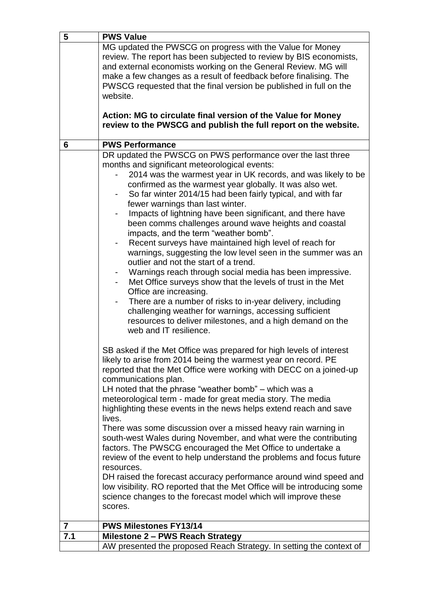| 5              | <b>PWS Value</b>                                                         |
|----------------|--------------------------------------------------------------------------|
|                | MG updated the PWSCG on progress with the Value for Money                |
|                | review. The report has been subjected to review by BIS economists,       |
|                | and external economists working on the General Review. MG will           |
|                | make a few changes as a result of feedback before finalising. The        |
|                | PWSCG requested that the final version be published in full on the       |
|                | website.                                                                 |
|                |                                                                          |
|                | Action: MG to circulate final version of the Value for Money             |
|                | review to the PWSCG and publish the full report on the website.          |
|                |                                                                          |
| 6              | <b>PWS Performance</b>                                                   |
|                | DR updated the PWSCG on PWS performance over the last three              |
|                |                                                                          |
|                | months and significant meteorological events:                            |
|                | 2014 was the warmest year in UK records, and was likely to be            |
|                | confirmed as the warmest year globally. It was also wet.                 |
|                | So far winter 2014/15 had been fairly typical, and with far              |
|                | fewer warnings than last winter.                                         |
|                | Impacts of lightning have been significant, and there have               |
|                | been comms challenges around wave heights and coastal                    |
|                | impacts, and the term "weather bomb".                                    |
|                | Recent surveys have maintained high level of reach for                   |
|                | warnings, suggesting the low level seen in the summer was an             |
|                | outlier and not the start of a trend.                                    |
|                | Warnings reach through social media has been impressive.                 |
|                | Met Office surveys show that the levels of trust in the Met              |
|                | Office are increasing.                                                   |
|                | There are a number of risks to in-year delivery, including               |
|                | challenging weather for warnings, accessing sufficient                   |
|                | resources to deliver milestones, and a high demand on the                |
|                | web and IT resilience.                                                   |
|                |                                                                          |
|                | SB asked if the Met Office was prepared for high levels of interest      |
|                | likely to arise from 2014 being the warmest year on record. PE           |
|                | reported that the Met Office were working with DECC on a joined-up       |
|                |                                                                          |
|                | communications plan.                                                     |
|                | LH noted that the phrase "weather bomb" $-$ which was a                  |
|                | meteorological term - made for great media story. The media              |
|                | highlighting these events in the news helps extend reach and save        |
|                | lives.                                                                   |
|                | There was some discussion over a missed heavy rain warning in            |
|                | south-west Wales during November, and what were the contributing         |
|                | factors. The PWSCG encouraged the Met Office to undertake a              |
|                | review of the event to help understand the problems and focus future     |
|                | resources.                                                               |
|                | DH raised the forecast accuracy performance around wind speed and        |
|                | low visibility. RO reported that the Met Office will be introducing some |
|                | science changes to the forecast model which will improve these           |
|                | scores.                                                                  |
|                |                                                                          |
| $\overline{7}$ | <b>PWS Milestones FY13/14</b>                                            |
| 7.1            | Milestone 2 - PWS Reach Strategy                                         |
|                | AW presented the proposed Reach Strategy. In setting the context of      |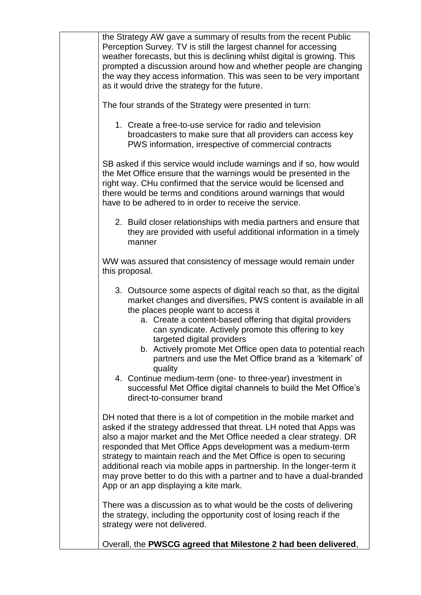| the Strategy AW gave a summary of results from the recent Public<br>Perception Survey. TV is still the largest channel for accessing<br>weather forecasts, but this is declining whilst digital is growing. This<br>prompted a discussion around how and whether people are changing<br>the way they access information. This was seen to be very important<br>as it would drive the strategy for the future.                                                                                                                                      |
|----------------------------------------------------------------------------------------------------------------------------------------------------------------------------------------------------------------------------------------------------------------------------------------------------------------------------------------------------------------------------------------------------------------------------------------------------------------------------------------------------------------------------------------------------|
| The four strands of the Strategy were presented in turn:                                                                                                                                                                                                                                                                                                                                                                                                                                                                                           |
| 1. Create a free-to-use service for radio and television<br>broadcasters to make sure that all providers can access key<br>PWS information, irrespective of commercial contracts                                                                                                                                                                                                                                                                                                                                                                   |
| SB asked if this service would include warnings and if so, how would<br>the Met Office ensure that the warnings would be presented in the<br>right way. CHu confirmed that the service would be licensed and<br>there would be terms and conditions around warnings that would<br>have to be adhered to in order to receive the service.                                                                                                                                                                                                           |
| 2. Build closer relationships with media partners and ensure that<br>they are provided with useful additional information in a timely<br>manner                                                                                                                                                                                                                                                                                                                                                                                                    |
| WW was assured that consistency of message would remain under<br>this proposal.                                                                                                                                                                                                                                                                                                                                                                                                                                                                    |
| 3. Outsource some aspects of digital reach so that, as the digital<br>market changes and diversifies, PWS content is available in all<br>the places people want to access it<br>a. Create a content-based offering that digital providers<br>can syndicate. Actively promote this offering to key<br>targeted digital providers<br>b. Actively promote Met Office open data to potential reach                                                                                                                                                     |
| partners and use the Met Office brand as a 'kitemark' of<br>quality<br>4. Continue medium-term (one- to three-year) investment in<br>successful Met Office digital channels to build the Met Office's<br>direct-to-consumer brand                                                                                                                                                                                                                                                                                                                  |
| DH noted that there is a lot of competition in the mobile market and<br>asked if the strategy addressed that threat. LH noted that Apps was<br>also a major market and the Met Office needed a clear strategy. DR<br>responded that Met Office Apps development was a medium-term<br>strategy to maintain reach and the Met Office is open to securing<br>additional reach via mobile apps in partnership. In the longer-term it<br>may prove better to do this with a partner and to have a dual-branded<br>App or an app displaying a kite mark. |
| There was a discussion as to what would be the costs of delivering<br>the strategy, including the opportunity cost of losing reach if the<br>strategy were not delivered.                                                                                                                                                                                                                                                                                                                                                                          |
| Overall, the PWSCG agreed that Milestone 2 had been delivered,                                                                                                                                                                                                                                                                                                                                                                                                                                                                                     |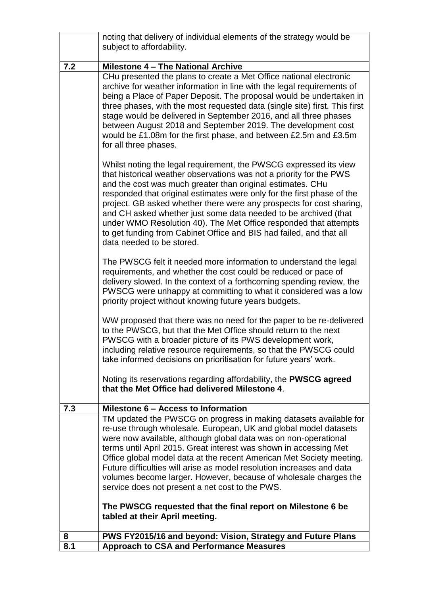|     | noting that delivery of individual elements of the strategy would be<br>subject to affordability.                                                                                                                                                                                                                                                                                                                                                                                                                                                                                                                    |
|-----|----------------------------------------------------------------------------------------------------------------------------------------------------------------------------------------------------------------------------------------------------------------------------------------------------------------------------------------------------------------------------------------------------------------------------------------------------------------------------------------------------------------------------------------------------------------------------------------------------------------------|
|     |                                                                                                                                                                                                                                                                                                                                                                                                                                                                                                                                                                                                                      |
| 7.2 | Milestone 4 - The National Archive                                                                                                                                                                                                                                                                                                                                                                                                                                                                                                                                                                                   |
|     | CHu presented the plans to create a Met Office national electronic<br>archive for weather information in line with the legal requirements of<br>being a Place of Paper Deposit. The proposal would be undertaken in<br>three phases, with the most requested data (single site) first. This first<br>stage would be delivered in September 2016, and all three phases<br>between August 2018 and September 2019. The development cost<br>would be £1.08m for the first phase, and between £2.5m and £3.5m<br>for all three phases.                                                                                   |
|     | Whilst noting the legal requirement, the PWSCG expressed its view<br>that historical weather observations was not a priority for the PWS<br>and the cost was much greater than original estimates. CHu<br>responded that original estimates were only for the first phase of the<br>project. GB asked whether there were any prospects for cost sharing,<br>and CH asked whether just some data needed to be archived (that<br>under WMO Resolution 40). The Met Office responded that attempts<br>to get funding from Cabinet Office and BIS had failed, and that all<br>data needed to be stored.                  |
|     | The PWSCG felt it needed more information to understand the legal<br>requirements, and whether the cost could be reduced or pace of<br>delivery slowed. In the context of a forthcoming spending review, the<br>PWSCG were unhappy at committing to what it considered was a low<br>priority project without knowing future years budgets.                                                                                                                                                                                                                                                                           |
|     | WW proposed that there was no need for the paper to be re-delivered<br>to the PWSCG, but that the Met Office should return to the next<br>PWSCG with a broader picture of its PWS development work,<br>including relative resource requirements, so that the PWSCG could<br>take informed decisions on prioritisation for future years' work.                                                                                                                                                                                                                                                                        |
|     | Noting its reservations regarding affordability, the <b>PWSCG agreed</b><br>that the Met Office had delivered Milestone 4.                                                                                                                                                                                                                                                                                                                                                                                                                                                                                           |
| 7.3 | Milestone 6 - Access to Information                                                                                                                                                                                                                                                                                                                                                                                                                                                                                                                                                                                  |
|     | TM updated the PWSCG on progress in making datasets available for<br>re-use through wholesale. European, UK and global model datasets<br>were now available, although global data was on non-operational<br>terms until April 2015. Great interest was shown in accessing Met<br>Office global model data at the recent American Met Society meeting.<br>Future difficulties will arise as model resolution increases and data<br>volumes become larger. However, because of wholesale charges the<br>service does not present a net cost to the PWS.<br>The PWSCG requested that the final report on Milestone 6 be |
|     | tabled at their April meeting.                                                                                                                                                                                                                                                                                                                                                                                                                                                                                                                                                                                       |
| 8   | PWS FY2015/16 and beyond: Vision, Strategy and Future Plans                                                                                                                                                                                                                                                                                                                                                                                                                                                                                                                                                          |
| 8.1 | <b>Approach to CSA and Performance Measures</b>                                                                                                                                                                                                                                                                                                                                                                                                                                                                                                                                                                      |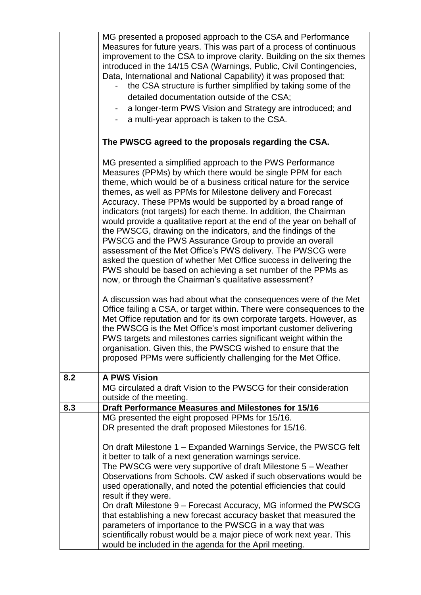|     | MG presented a proposed approach to the CSA and Performance<br>Measures for future years. This was part of a process of continuous<br>improvement to the CSA to improve clarity. Building on the six themes<br>introduced in the 14/15 CSA (Warnings, Public, Civil Contingencies,                                                                                                                                                                                                                                                                                                                                                                                                                                                                                                                                                                                       |
|-----|--------------------------------------------------------------------------------------------------------------------------------------------------------------------------------------------------------------------------------------------------------------------------------------------------------------------------------------------------------------------------------------------------------------------------------------------------------------------------------------------------------------------------------------------------------------------------------------------------------------------------------------------------------------------------------------------------------------------------------------------------------------------------------------------------------------------------------------------------------------------------|
|     | Data, International and National Capability) it was proposed that:                                                                                                                                                                                                                                                                                                                                                                                                                                                                                                                                                                                                                                                                                                                                                                                                       |
|     | the CSA structure is further simplified by taking some of the                                                                                                                                                                                                                                                                                                                                                                                                                                                                                                                                                                                                                                                                                                                                                                                                            |
|     | detailed documentation outside of the CSA;<br>a longer-term PWS Vision and Strategy are introduced; and                                                                                                                                                                                                                                                                                                                                                                                                                                                                                                                                                                                                                                                                                                                                                                  |
|     | a multi-year approach is taken to the CSA.                                                                                                                                                                                                                                                                                                                                                                                                                                                                                                                                                                                                                                                                                                                                                                                                                               |
|     |                                                                                                                                                                                                                                                                                                                                                                                                                                                                                                                                                                                                                                                                                                                                                                                                                                                                          |
|     | The PWSCG agreed to the proposals regarding the CSA.                                                                                                                                                                                                                                                                                                                                                                                                                                                                                                                                                                                                                                                                                                                                                                                                                     |
|     | MG presented a simplified approach to the PWS Performance<br>Measures (PPMs) by which there would be single PPM for each<br>theme, which would be of a business critical nature for the service<br>themes, as well as PPMs for Milestone delivery and Forecast<br>Accuracy. These PPMs would be supported by a broad range of<br>indicators (not targets) for each theme. In addition, the Chairman<br>would provide a qualitative report at the end of the year on behalf of<br>the PWSCG, drawing on the indicators, and the findings of the<br>PWSCG and the PWS Assurance Group to provide an overall<br>assessment of the Met Office's PWS delivery. The PWSCG were<br>asked the question of whether Met Office success in delivering the<br>PWS should be based on achieving a set number of the PPMs as<br>now, or through the Chairman's qualitative assessment? |
|     | A discussion was had about what the consequences were of the Met<br>Office failing a CSA, or target within. There were consequences to the<br>Met Office reputation and for its own corporate targets. However, as<br>the PWSCG is the Met Office's most important customer delivering<br>PWS targets and milestones carries significant weight within the<br>organisation. Given this, the PWSCG wished to ensure that the<br>proposed PPMs were sufficiently challenging for the Met Office.                                                                                                                                                                                                                                                                                                                                                                           |
| 8.2 | <b>A PWS Vision</b>                                                                                                                                                                                                                                                                                                                                                                                                                                                                                                                                                                                                                                                                                                                                                                                                                                                      |
|     | MG circulated a draft Vision to the PWSCG for their consideration<br>outside of the meeting.                                                                                                                                                                                                                                                                                                                                                                                                                                                                                                                                                                                                                                                                                                                                                                             |
| 8.3 | <b>Draft Performance Measures and Milestones for 15/16</b>                                                                                                                                                                                                                                                                                                                                                                                                                                                                                                                                                                                                                                                                                                                                                                                                               |
|     | MG presented the eight proposed PPMs for 15/16.                                                                                                                                                                                                                                                                                                                                                                                                                                                                                                                                                                                                                                                                                                                                                                                                                          |
|     | DR presented the draft proposed Milestones for 15/16.                                                                                                                                                                                                                                                                                                                                                                                                                                                                                                                                                                                                                                                                                                                                                                                                                    |
|     | On draft Milestone 1 - Expanded Warnings Service, the PWSCG felt<br>it better to talk of a next generation warnings service.<br>The PWSCG were very supportive of draft Milestone 5 – Weather<br>Observations from Schools. CW asked if such observations would be<br>used operationally, and noted the potential efficiencies that could                                                                                                                                                                                                                                                                                                                                                                                                                                                                                                                                |
|     | result if they were.<br>On draft Milestone 9 – Forecast Accuracy, MG informed the PWSCG<br>that establishing a new forecast accuracy basket that measured the<br>parameters of importance to the PWSCG in a way that was<br>scientifically robust would be a major piece of work next year. This<br>would be included in the agenda for the April meeting.                                                                                                                                                                                                                                                                                                                                                                                                                                                                                                               |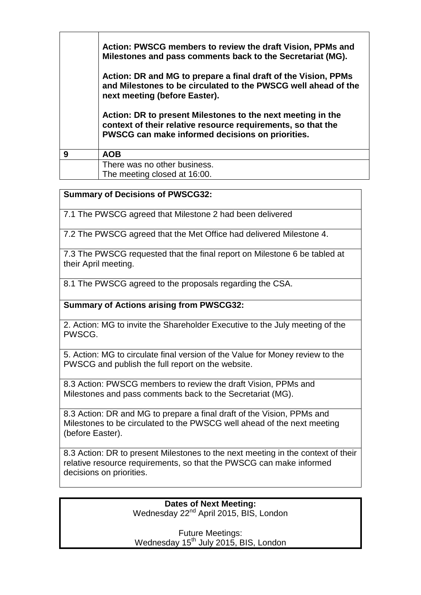|   | Action: PWSCG members to review the draft Vision, PPMs and<br>Milestones and pass comments back to the Secretariat (MG).<br>Action: DR and MG to prepare a final draft of the Vision, PPMs<br>and Milestones to be circulated to the PWSCG well ahead of the<br>next meeting (before Easter).<br>Action: DR to present Milestones to the next meeting in the<br>context of their relative resource requirements, so that the<br>PWSCG can make informed decisions on priorities. |
|---|----------------------------------------------------------------------------------------------------------------------------------------------------------------------------------------------------------------------------------------------------------------------------------------------------------------------------------------------------------------------------------------------------------------------------------------------------------------------------------|
| 9 | <b>AOB</b>                                                                                                                                                                                                                                                                                                                                                                                                                                                                       |
|   | There was no other business.<br>The meeting closed at 16:00.                                                                                                                                                                                                                                                                                                                                                                                                                     |

## **Summary of Decisions of PWSCG32:**

7.1 The PWSCG agreed that Milestone 2 had been delivered

7.2 The PWSCG agreed that the Met Office had delivered Milestone 4.

7.3 The PWSCG requested that the final report on Milestone 6 be tabled at their April meeting.

8.1 The PWSCG agreed to the proposals regarding the CSA.

**Summary of Actions arising from PWSCG32:**

2. Action: MG to invite the Shareholder Executive to the July meeting of the PWSCG.

5. Action: MG to circulate final version of the Value for Money review to the PWSCG and publish the full report on the website.

8.3 Action: PWSCG members to review the draft Vision, PPMs and Milestones and pass comments back to the Secretariat (MG).

8.3 Action: DR and MG to prepare a final draft of the Vision, PPMs and Milestones to be circulated to the PWSCG well ahead of the next meeting (before Easter).

8.3 Action: DR to present Milestones to the next meeting in the context of their relative resource requirements, so that the PWSCG can make informed decisions on priorities.

> **Dates of Next Meeting:** Wednesday 22<sup>nd</sup> April 2015, BIS, London

Future Meetings: Wednesday 15<sup>th</sup> July 2015, BIS, London